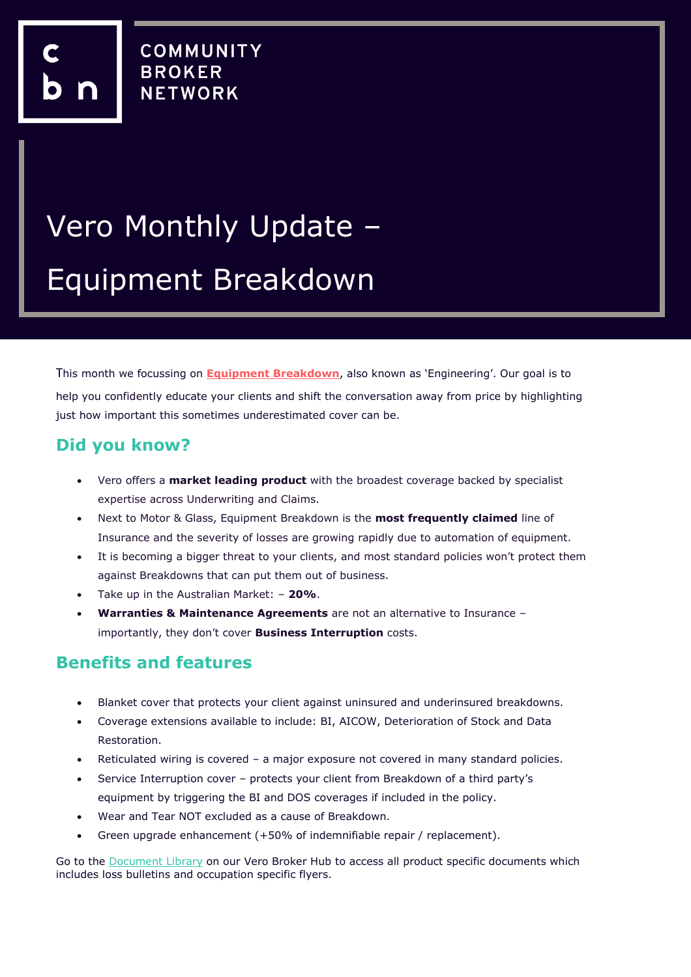## Vero Monthly Update – Equipment Breakdown

This month we focussing on **Equipment Breakdown**, also known as 'Engineering'. Our goal is to help you confidently educate your clients and shift the conversation away from price by highlighting just how important this sometimes underestimated cover can be.

## **Did you know?**

- Vero offers a **market leading product** with the broadest coverage backed by specialist expertise across Underwriting and Claims.
- Next to Motor & Glass, Equipment Breakdown is the **most frequently claimed** line of Insurance and the severity of losses are growing rapidly due to automation of equipment.
- It is becoming a bigger threat to your clients, and most standard policies won't protect them against Breakdowns that can put them out of business.
- Take up in the Australian Market: **20%**.
- **Warranties & Maintenance Agreements** are not an alternative to Insurance importantly, they don't cover **Business Interruption** costs.

## **Benefits and features**

- Blanket cover that protects your client against uninsured and underinsured breakdowns.
- Coverage extensions available to include: BI, AICOW, Deterioration of Stock and Data Restoration.
- Reticulated wiring is covered a major exposure not covered in many standard policies.
- Service Interruption cover protects your client from Breakdown of a third party's equipment by triggering the BI and DOS coverages if included in the policy.
- Wear and Tear NOT excluded as a cause of Breakdown.
- Green upgrade enhancement (+50% of indemnifiable repair / replacement).

Go to the [Document Library](https://www.vero.com.au/broker/document-library.html) on our Vero Broker Hub to access all product specific documents which includes loss bulletins and occupation specific flyers.